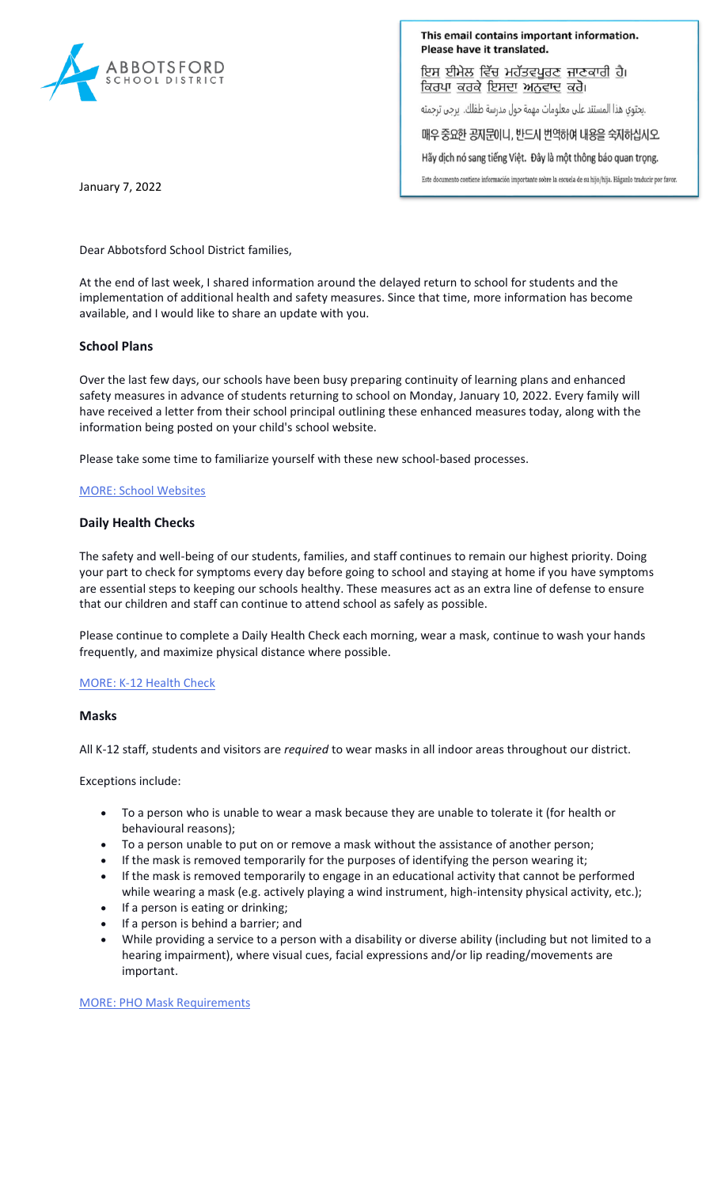

This email contains important information. Please have it translated.

ਇਸ ਈਮੇਲ ਵਿੱਚ ਮਹੱਤਵਪੂਰਣ ਜਾਣਕਾਰੀ ਹੈ। ਕਿਰਪਾ ਕਰਕੇ ਇਸਦਾ ਅਨਵਾਦ ਕਰੋ।

.يحتوي هذا المستند على معلومات مهمة حول مدرسة طفلك. يرجى ترجمته

매우 중요한 공지문이니, 반드시 번역하여 내용을 숙지하십시오.

Hãy dịch nó sang tiếng Việt. Đây là một thông báo quan trọng.

Este documento contiene información importante sobre la escuela de su hijo/hija. Háganlo traducir por favor.

January 7, 2022

Dear Abbotsford School District families,

At the end of last week, I shared information around the delayed return to school for students and the implementation of additional health and safety measures. Since that time, more information has become available, and I would like to share an update with you.

# **School Plans**

Over the last few days, our schools have been busy preparing continuity of learning plans and enhanced safety measures in advance of students returning to school on Monday, January 10, 2022. Every family will have received a letter from their school principal outlining these enhanced measures today, along with the information being posted on your child's school website.

Please take some time to familiarize yourself with these new school-based processes.

## [MORE: School Websites](https://www.abbyschools.ca/schools)

# **Daily Health Checks**

The safety and well-being of our students, families, and staff continues to remain our highest priority. Doing your part to check for symptoms every day before going to school and staying at home if you have symptoms are essential steps to keeping our schools healthy. These measures act as an extra line of defense to ensure that our children and staff can continue to attend school as safely as possible.

Please continue to complete a Daily Health Check each morning, wear a mask, continue to wash your hands frequently, and maximize physical distance where possible.

### [MORE: K-12 Health Check](https://www.k12dailycheck.gov.bc.ca/healthcheck?execution=e2s1)

### **Masks**

All K-12 staff, students and visitors are *required* to wear masks in all indoor areas throughout our district.

Exceptions include:

- To a person who is unable to wear a mask because they are unable to tolerate it (for health or behavioural reasons);
- To a person unable to put on or remove a mask without the assistance of another person;
- If the mask is removed temporarily for the purposes of identifying the person wearing it;
- If the mask is removed temporarily to engage in an educational activity that cannot be performed while wearing a mask (e.g. actively playing a wind instrument, high-intensity physical activity, etc.);
- If a person is eating or drinking;
- If a person is behind a barrier; and
- While providing a service to a person with a disability or diverse ability (including but not limited to a hearing impairment), where visual cues, facial expressions and/or lip reading/movements are important.

[MORE: PHO Mask Requirements](https://www2.gov.bc.ca/assets/gov/health/about-bc-s-health-care-system/office-of-the-provincial-health-officer/covid-19/covid-19-pho-order-face-coverings.pdf)